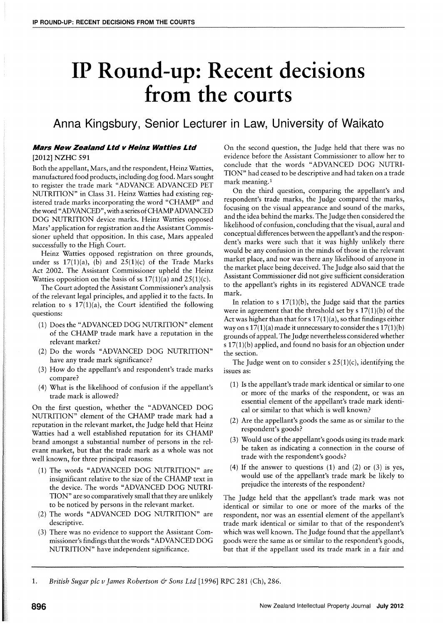# **IP Round-up: Recent decisions**  from the courts

**Anna Kingsbury, Senior Lecturer in Law, University of Waikato** 

### **Mars New Zealand Ltd v Heinz Watties Ltd**  [2012] NZHC 591

Both the appellant, Mars, and the respondent, Heinz Watties, manufactured food products, including dog food. Mars sought to register the trade mark "ADVANCE ADVANCED PET NUTRITION" in Class 31. Heinz Watties had existing registered trade marks incorporating the word "CHAMP" and the word "ADVANCED", with a series of CHAMP ADVANCED DOG NUTRITION device marks. Heinz Watties opposed Mars' application for registration and the Assistant Commissioner upheld that opposition. In this case, Mars appealed successfully to the High Court.

Heinz Watties opposed registration on three grounds, under ss  $17(1)(a)$ , (b) and  $25(1)(c)$  of the Trade Marks Act 2002. The Assistant Commissioner upheld the Heinz Watties opposition on the basis of ss  $17(1)(a)$  and  $25(1)(c)$ .

The Court adopted the Assistant Commissioner's analysis of the relevant legal principles, and applied it to the facts. In relation to s  $17(1)(a)$ , the Court identified the following questions:

- (1) Does the "ADVANCED DOG NUTRITION" element of the CHAMP trade mark have a reputation in the relevant market?
- (2) Do the words "ADVANCED DOG NUTRITION" have any trade mark significance?
- (3) How do the appellant's and respondent's trade marks compare?
- (4) What is the likelihood of confusion if the appellant's trade mark is allowed?

On the first question, whether the "ADVANCED DOG NUTRITION" element of the CHAMP trade mark had a reputation in the relevant market, the Judge held that Heinz Watties had a well established reputation for its CHAMP brand amongst a substantial number of persons in the relevant market, but that the trade mark as a whole was not well known, for three principal reasons:

- (1) The words "ADVANCED DOG NUTRITION" are insignificant relative to the size of the CHAMP text in the device. The words "ADVANCED DOG NUTRI-TION" are so comparatively small that they are unlikely to be noticed by persons in the relevant market.
- (2) The words "ADVANCED DOG NUTRITION" are descriptive.
- (3) There was no evidence to support the Assistant Commissioner's findings that the words" ADVANCED DOG NUTRITION" have independent significance.

On the second question, the Judge held that there was no evidence before the Assistant Commissioner to allow her to conclude that the words "ADVANCED DOG NUTRI-TION" had ceased to be descriptive and had taken on a trade mark meaning.<sup>1</sup>

On the third question, comparing the appellant's and respondent's trade marks, the Judge compared the marks, focusing on the visual appearance and sound of the marks, and the idea behind the marks. The Judge then considered the likelihood of confusion, concluding that the visual, aural and conceptual differences between the appellant's and the respondent's marks were such that it was highly unlikely there would be any confusion in the minds of those in the relevant market place, and nor was there any likelihood of anyone in the market place being deceived. The Judge also said that the Assistant Commissioner did not give sufficient consideration to the appellant's rights in its registered ADVANCE trade mark.

In relation to s  $17(1)(b)$ , the Judge said that the parties were in agreement that the threshold set by s  $17(1)(b)$  of the Act was higher than that for  $s 17(1)(a)$ , so that findings either way on s  $17(1)(a)$  made it unnecessary to consider the s  $17(1)(b)$ grounds of appeal. The Judge nevertheless considered whether s 17(I)(b) applied, and found no basis for an objection under the section.

The Judge went on to consider s  $25(1)(c)$ , identifying the issues as:

- (1) Is the appellant's trade mark identical or similar to one or more of the marks of the respondent, or was an essential element of the appellant's trade mark identical or similar to that which is well known?
- (2) Are the appellant's goods the same as or similar to the respondent's goods?
- (3) Would use of the appellant's goods using its trade mark be taken as indicating a connection in the course of trade with the respondent's goods?
- (4) If the answer to questions  $(1)$  and  $(2)$  or  $(3)$  is yes, would use of the appellant's trade mark be likely to prejudice the interests of the respondent?

The Judge held that the appellant's trade mark was not identical or similar to one or more of the marks of the respondent, nor was an essential element of the appellant's trade mark identical or similar to that of the respondent's which was well known. The Judge found that the appellant's goods were the same as or similar to the respondent's goods, but that if the appellant used its trade mark in a fair and

1. *British Sugar* pIc *v James Robertson* & *Sons Ltd* [1996] RPC 281 (Ch), 286.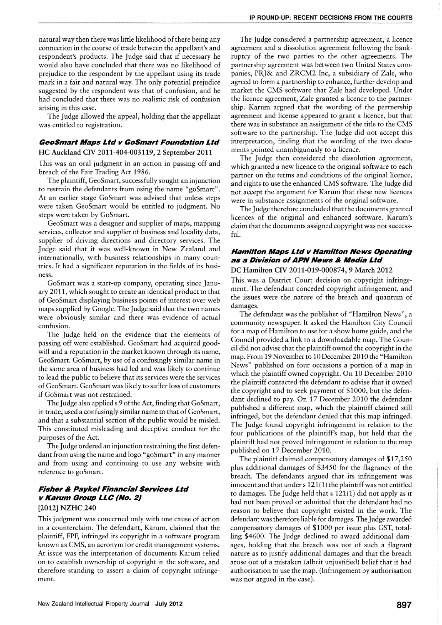natural way then there was little likelihood of there being any connection in the course of trade between the appellant's and respondent's products. The Judge said that if necessary he would also have concluded that there was no likelihood of prejudice to the respondent by the appellant using its trade mark in a fair and natural way. The only potential prejudice suggested by the respondent was that of confusion, and he had concluded that there was no realistic risk of confusion arising in this case.

The Judge allowed the appeal, holding that the appellant was entitled to registration.

#### **GeoSmart Maps Ltd v GoSmart Foundation Ltd**

#### HC Auckland CIV 2011-404-003119,2 September 2011

This was an oral judgment in an action in passing off and breach of the Fair Trading Act 1986.

The plaintiff, GeoSmart, successfully sought an injunction to restrain the defendants from using the name "goSmart". At an earlier stage GoSmart was advised that unless steps were taken GeoSmart would be entitled to judgment. No steps were taken by GoSmart.

GeoSmart was a designer and supplier of maps, mapping services, collector and supplier of business and locality data, supplier of driving directions and directory services. The Judge said that it was well-known in New Zealand and internationally, with business relationships in many countries. It had a significant reputation in the fields of its business.

GoSmart was a start-up company, operating since January 2011, which sought to create an identical product to that of GeoSmart displaying business points of interest over web maps supplied by Google. The Judge said that the two names were obviously similar and there was evidence of actual confusion.

The Judge held on the evidence that the elements of passing off were established. GeoSmart had acquired goodwill and a reputation in the market known through its name, GeoSmart. GoSmart, by use of a confusingly similar name in the same area of business had led and was likely to continue to lead the public to believe that its services were the services of GeoSmart. GeoSmart was likely to suffer loss of customers if GoSmart was not restrained.

The Judge also applied s 9 of the Act, finding that GoSmart, in trade, used a confusingly similar name to that of GeoSmart, and that a substantial section of the public would be misled. This constituted misleading and deceptive conduct for the purposes of the Act.

The Judge ordered an injunction restraining the first defendant from using the name and logo "goSmart" in any manner and from using and continuing to use any website with reference to goSmart.

## **Fisher & Paykel Financial Services Ltd v Karum Group LLC (No.2)**

#### [2012] NZHC 240

This judgment was concerned only with one cause of action in a counterclaim. The defendant, Karum, claimed that the plaintiff, FPF, infringed its copyright in a software program known as CMS, an acronym for credit management systems. At issue was the interpretation of documents Karum relied on to establish ownership of copyright in the software, and therefore standing to assert a claim of copyright infringement.

The Judge considered a partnership agreement, a licence agreement and a dissolution agreement following the bankruptcy of the two parties to the other agreements. The partnership agreement was between two United States companies, PRJ& and ZRCM2 Inc, a subsidiary of Zale, who agreed to form a partnership to enhance, further develop and market the CMS software that Zale had developed. Under the licence agreement, Zale granted a licence to the partnership. Karum argued that the wording of the partnership agreement and license appeared to grant a licence, but that there was in substance an assignment of the title to the CMS software to the partnership. The Judge did not accept this interpretation, finding that the wording of the two documents pointed unambiguously to a licence.

The Judge then considered the dissolution agreement, which granted a new licence to the original software to each partner on the terms and conditions of the original licence, and rights to use the enhanced CMS software. The Judge did not accept the argument for Karum that these new licences were in substance assignments of the original software.

The Judge therefore concluded that the documents granted licences of the original and enhanced software. Karum's claim that the documents assigned copyright was not successful.

## **Hamilton Maps Ltd v Hamilton News Operating as a Division of APN News & Media Ltd**

#### DC Hamilton CIV 2011-019-000874,9 March 2012

This was a District Court decision on copyright infringement. The defendant conceded copyright infringement, and the issues were the nature of the breach and quantum of damages.

The defendant was the publisher of "Hamilton News", a community newspaper. It asked the Hamilton City Council for a map of Hamilton to use for a show home guide, and the Council provided a link to a downloadable map. The Council did not advise that the plaintiff owned the copyright in the map. From 19 November to 10 December 2010 the "Hamilton News" published on four occasions a portion of a map in which the plaintiff owned copyright. On 10 December 2010 the plaintiff contacted the defendant to advise that it owned the copyright and to seek payment of \$1000, but the defendant declined to pay. On 17 December 2010 the defendant published a different map, which the plaintiff claimed still infringed, but the defendant denied that this map infringed. The Judge found copyright infringement in relation to the four publications of the plaintiff's map, but held that the plaintiff had not proved infringement in relation to the map published on 17 December 2010.

The plaintiff claimed compensatory damages of \$17,250 plus additional damages of \$3450 for the flagrancy of the breach. The defendants argued that its infringement was innocent and that under  $s 121(1)$  the plaintiff was not entitled to damages. The Judge held that s 121(1) did not apply as it had not been proved or admitted that the defendant had no reason to believe that copyright existed in the work. The defendant was therefore liable for damages. The Judge awarded compensatory damages of \$1000 per issue plus GST, totalling \$4600. The Judge declined to award additional damages, holding that the breach was not of such a flagrant nature as to justify additional damages and that the breach arose out of a mistaken (albeit unjustified) belief that it had authorisation to use the map. (Infringement by authorisation was not argued in the case).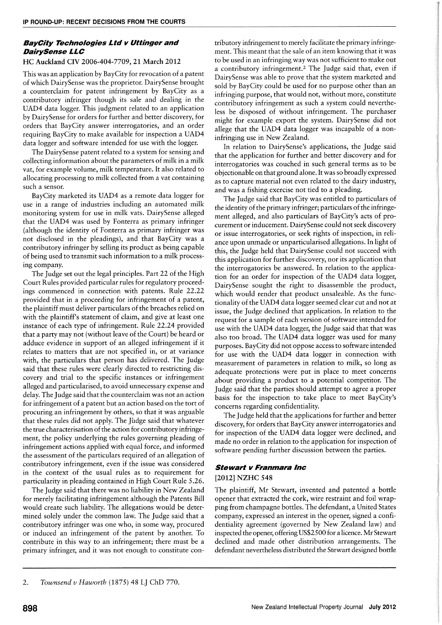## **BayCity Technologies Ltd v Uttinger and DairySense LLC**

#### HC Auckland CIY 2006-404-7709, 21 March 2012

This was an application by BayCity for revocation of a patent of which DairySense was the proprietor. DairySense brought a counterclaim for patent infringement by BayCity as a contributory infringer though its sale and dealing in the UAD4 data logger. This judgment related to an application by DairySense for orders for further and better discovery, for orders that BayCity answer interrogatories, and an order requiring BayCity to make available for inspection a UAD4 data logger and software intended for use with the logger.

The DairySense patent related to a system for sensing and collecting information about the parameters of milk in a milk vat, for example volume, milk temperature. It also related to allocating processing to milk collected from a vat containing such a sensor.

BayCity marketed its UAD4 as a remote data logger for use in a range of industries including an automated milk monitoring system for use in milk vats. DairySense alleged that the UAD4 was used by Fonterra as primary infringer (although the identity of Fonterra as primary infringer was not disclosed in the pleadings), and that BayCity was a contributory infringer by selling its product as being capable of being used to transmit such information to a milk processing company.

The Judge set out the legal principles. Part 22 of the High Court Rules provided particular rules for regulatory proceedings commenced in connection with patents. Rule 22.22 provided that in a proceeding for infringement of a patent, the plaintiff must deliver particulars of the breaches relied on with the plaintiff's statement of claim, and give at least one instance of each type of infringement. Rule 22.24 provided that a party may not (without leave of the Court) be heard or adduce evidence in support of an alleged infringement if it relates to matters that are not specified in, or at variance with, the particulars that person has delivered. The Judge said that these rules were clearly directed to restricting discovery and trial to the specific instances or infringement alleged and particularised, to avoid unnecessary expense and delay. The Judge said that the counterclaim was not an action for infringement of a patent but an action based on the tort of procuring an infringement by others, so that it was arguable that these rules did not apply. The Judge said that whatever the true characterisation of the action for contributory infringement, the policy underlying the rules governing pleading of infringement actions applied with equal force, and informed the assessment of the particulars required of an allegation of contributory infringement, even if the issue was considered in the context of the usual rules as to requirement for particularity in pleading contained in High Court Rule 5.26.

The Judge said that there was no liability in New Zealand for merely facilitating infringement although the Patents Bill would create such liability. The allegations would be determined solely under the common law. The Judge said that a contributory infringer was one who, in some way, procured or induced an infringement of the patent by another. To contribute in this way to an infringement; there must be a primary infringer, and it was not enough to constitute contributory infringement to merely facilitate the primary infringement. This meant that the sale of an item knowing that it was to be used in an infringing way was not sufficient to make out a contributory infringement.2 The Judge said that, even if DairySense was able to prove that the system marketed and sold by BayCity could be used for no purpose other than an infringing purpose, that would not, without more, constitute contributory infringement as such a system could nevertheless be disposed of without infringement. The purchaser might for example export the system. DairySense did not allege that the UAD4 data logger was incapable of a noninfringing use in New Zealand.

In relation to DairySense's applications, the Judge said that the application for further and better discovery and for interrogatories was couched in such general terms as to be objectionable on that ground alone. It was so broadly expressed as to capture material not even related to the dairy industry, and was a fishing exercise not tied to a pleading.

The Judge said that BayCity was entitled to particulars of the identity of the primary infringer; particulars of the infringement alleged, and also particulars of BayCity's acts of procurement or inducement. DairySense could not seek discovery or issue interrogatories, or seek rights of inspection, in reliance upon unmade or unparticularised allegations. In light of this, the Judge held that DairySense could not succeed with this application for further discovery, nor its application that the interrogatories be answered. In relation to the application for an order for inspection of the UAD4 data logger, DairySense sought the right to disassemble the product, which would render that product unsaleable. As the functionality of the UAD4 data logger seemed clear cut and not at issue, the Judge declined that application. In relation to the request for a sample of each version of software intended for use with the UAD4 data logger, the Judge said that that was also too broad. The UAD4 data logger was used for many purposes. BayCity did not oppose access to software intended for use with the UAD4 data logger in connection with measurement of parameters in relation to milk, so long as adequate protections were put in place to meet concerns about providing a product to a potential competitor. The Judge said that the parties should attempt to agree a proper basis for the inspection to take place to meet BayCity's concerns regarding confidentiality.

The Judge held that the applications for further and better discovery, for orders that BayCity answer interrogatories and for inspection of the UAD4 data logger were declined, and made no order in relation to the application for inspection of software pending further discussion between the parties.

## **Stewart v Franmara Inc**

## [2012] NZHC 548

The plaintiff, Mr Stewart, invented and patented a bottle opener that extracted the cork, wire restraint and foil wrapping from champagne bottles. The defendant, a United States company, expressed an interest in the opener, signed a confidentiality agreement (governed by New Zealand law) and inspected the opener, offering US\$2500 for a licence. Mr Stewart declined and made other distribution arrangements. The defendant nevertheless distributed the Stewart designed bottle

<sup>2.</sup> *Townsend v Haworth* (1875) 48 LJ ChD 770.